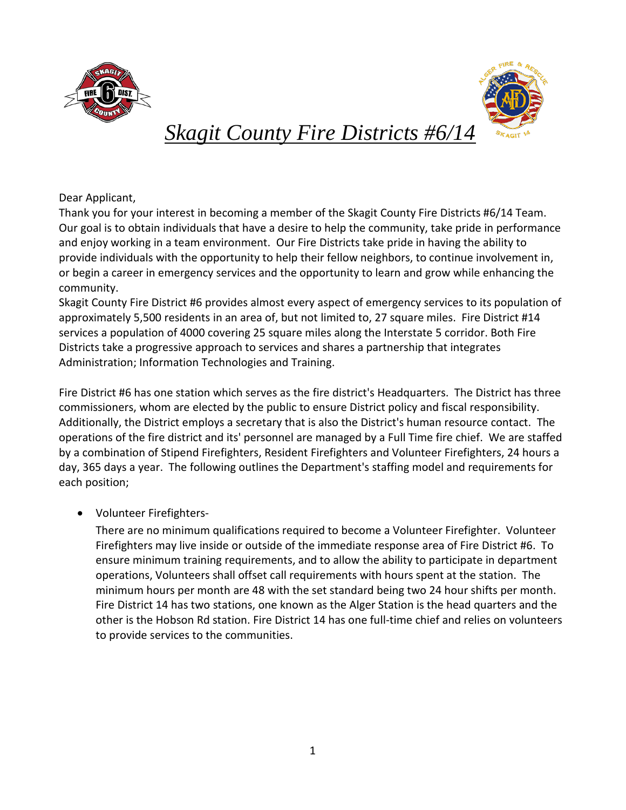



# *Skagit County Fire Districts #6/14*

Dear Applicant,

Thank you for your interest in becoming a member of the Skagit County Fire Districts #6/14 Team. Our goal is to obtain individuals that have a desire to help the community, take pride in performance and enjoy working in a team environment. Our Fire Districts take pride in having the ability to provide individuals with the opportunity to help their fellow neighbors, to continue involvement in, or begin a career in emergency services and the opportunity to learn and grow while enhancing the community.

Skagit County Fire District #6 provides almost every aspect of emergency services to its population of approximately 5,500 residents in an area of, but not limited to, 27 square miles. Fire District #14 services a population of 4000 covering 25 square miles along the Interstate 5 corridor. Both Fire Districts take a progressive approach to services and shares a partnership that integrates Administration; Information Technologies and Training.

Fire District #6 has one station which serves as the fire district's Headquarters. The District has three commissioners, whom are elected by the public to ensure District policy and fiscal responsibility. Additionally, the District employs a secretary that is also the District's human resource contact. The operations of the fire district and its' personnel are managed by a Full Time fire chief. We are staffed by a combination of Stipend Firefighters, Resident Firefighters and Volunteer Firefighters, 24 hours a day, 365 days a year. The following outlines the Department's staffing model and requirements for each position;

• Volunteer Firefighters-

There are no minimum qualifications required to become a Volunteer Firefighter. Volunteer Firefighters may live inside or outside of the immediate response area of Fire District #6. To ensure minimum training requirements, and to allow the ability to participate in department operations, Volunteers shall offset call requirements with hours spent at the station. The minimum hours per month are 48 with the set standard being two 24 hour shifts per month. Fire District 14 has two stations, one known as the Alger Station is the head quarters and the other is the Hobson Rd station. Fire District 14 has one full-time chief and relies on volunteers to provide services to the communities.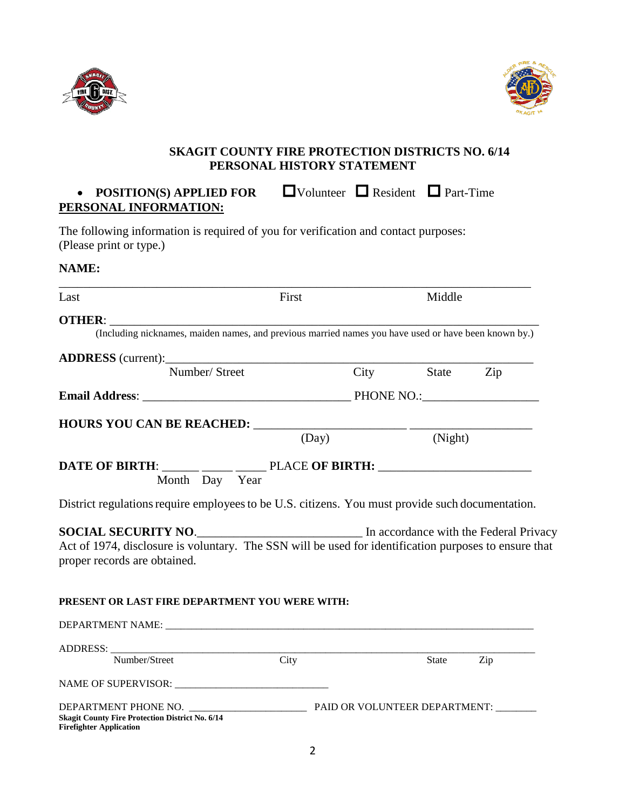



## **SKAGIT COUNTY FIRE PROTECTION DISTRICTS NO. 6/14 PERSONAL HISTORY STATEMENT**

# • **POSITION(S) APPLIED FOR**  $\Box$  Volunteer  $\Box$  Resident  $\Box$  Part-Time **PERSONAL INFORMATION:**

The following information is required of you for verification and contact purposes: (Please print or type.)

#### **NAME:**

| Last                                                                                                                                                                                                       | First |  | Middle         |  |
|------------------------------------------------------------------------------------------------------------------------------------------------------------------------------------------------------------|-------|--|----------------|--|
| <b>OTHER:</b>                                                                                                                                                                                              |       |  |                |  |
| (Including nicknames, maiden names, and previous married names you have used or have been known by.)                                                                                                       |       |  |                |  |
|                                                                                                                                                                                                            |       |  |                |  |
| Number/Street                                                                                                                                                                                              |       |  | City State Zip |  |
|                                                                                                                                                                                                            |       |  |                |  |
|                                                                                                                                                                                                            |       |  |                |  |
| <b>HOURS YOU CAN BE REACHED:</b> (Day) (Night)                                                                                                                                                             |       |  |                |  |
| DATE OF BIRTH: _____ ____ ____ PLACE OF BIRTH: _________________________________<br>Month Day Year                                                                                                         |       |  |                |  |
| District regulations require employees to be U.S. citizens. You must provide such documentation.                                                                                                           |       |  |                |  |
| <b>SOCIAL SECURITY NO.</b> In accordance with the Federal Privacy<br>Act of 1974, disclosure is voluntary. The SSN will be used for identification purposes to ensure that<br>proper records are obtained. |       |  |                |  |
|                                                                                                                                                                                                            |       |  |                |  |
|                                                                                                                                                                                                            |       |  |                |  |
|                                                                                                                                                                                                            |       |  |                |  |
| Number/Street                                                                                                                                                                                              | City  |  | State Zip      |  |
| PRESENT OR LAST FIRE DEPARTMENT YOU WERE WITH:                                                                                                                                                             |       |  |                |  |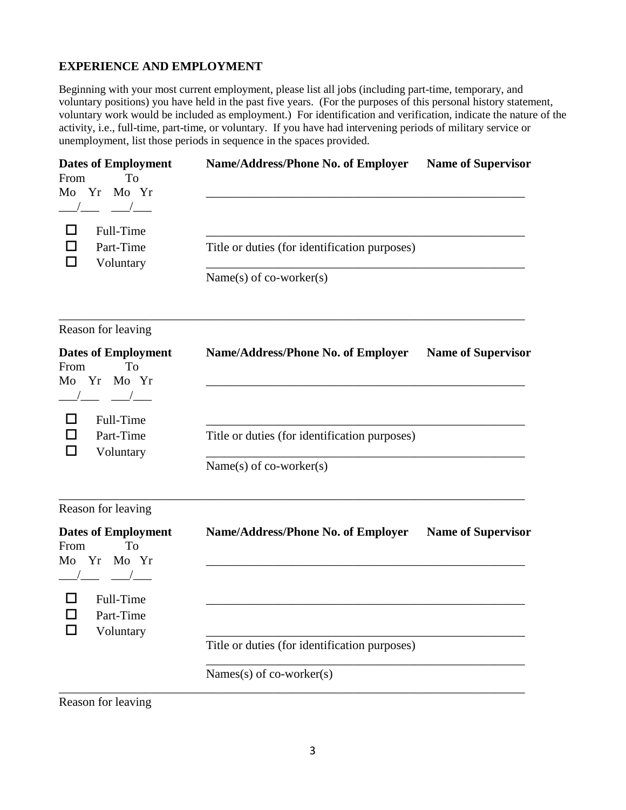#### **EXPERIENCE AND EMPLOYMENT**

Beginning with your most current employment, please list all jobs (including part-time, temporary, and voluntary positions) you have held in the past five years. (For the purposes of this personal history statement, voluntary work would be included as employment.) For identification and verification, indicate the nature of the activity, i.e., full-time, part-time, or voluntary. If you have had intervening periods of military service or unemployment, list those periods in sequence in the spaces provided.

| <b>Dates of Employment</b><br>To<br>From<br>Yr<br>Mo Yr<br>Mo                          | <b>Name/Address/Phone No. of Employer</b>                                | <b>Name of Supervisor</b> |
|----------------------------------------------------------------------------------------|--------------------------------------------------------------------------|---------------------------|
| Full-Time<br>Part-Time<br>Voluntary                                                    | Title or duties (for identification purposes)<br>Name(s) of co-worker(s) |                           |
| Reason for leaving                                                                     |                                                                          |                           |
| <b>Dates of Employment</b><br>From<br>To<br>Yr Mo Yr<br>Mo<br>$\overline{\phantom{a}}$ | <b>Name/Address/Phone No. of Employer</b>                                | <b>Name of Supervisor</b> |
| Full-Time<br>Part-Time<br>Voluntary                                                    | Title or duties (for identification purposes)<br>Name(s) of co-worker(s) |                           |
| Reason for leaving                                                                     |                                                                          |                           |
| <b>Dates of Employment</b><br>To<br>From<br>Yr Mo Yr<br>Mo                             | Name/Address/Phone No. of Employer                                       | <b>Name of Supervisor</b> |
| Full-Time<br>П<br>Part-Time<br>Voluntary                                               |                                                                          |                           |
|                                                                                        | Title or duties (for identification purposes)                            |                           |
|                                                                                        | Names(s) of co-worker(s)                                                 |                           |

Reason for leaving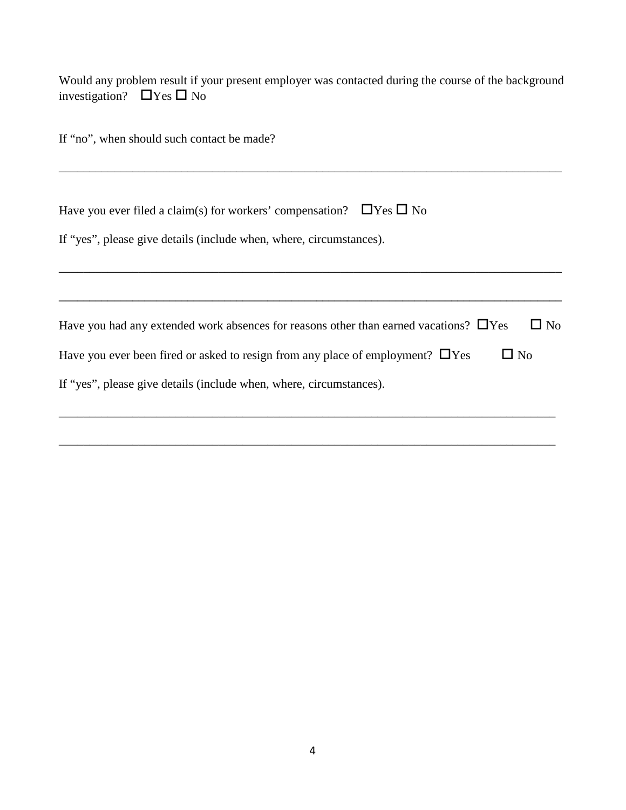Would any problem result if your present employer was contacted during the course of the background investigation?  $\Box$  Yes  $\Box$  No

| If "no", when should such contact be made?                                                                  |
|-------------------------------------------------------------------------------------------------------------|
|                                                                                                             |
| Have you ever filed a claim(s) for workers' compensation? $\Box$ Yes $\Box$ No                              |
| If "yes", please give details (include when, where, circumstances).                                         |
|                                                                                                             |
|                                                                                                             |
| $\square$ No<br>Have you had any extended work absences for reasons other than earned vacations? $\Box$ Yes |
| Have you ever been fired or asked to resign from any place of employment? $\Box$ Yes<br>$\Box$ No           |
| If "yes", please give details (include when, where, circumstances).                                         |
|                                                                                                             |

\_\_\_\_\_\_\_\_\_\_\_\_\_\_\_\_\_\_\_\_\_\_\_\_\_\_\_\_\_\_\_\_\_\_\_\_\_\_\_\_\_\_\_\_\_\_\_\_\_\_\_\_\_\_\_\_\_\_\_\_\_\_\_\_\_\_\_\_\_\_\_\_\_\_\_\_\_\_\_\_\_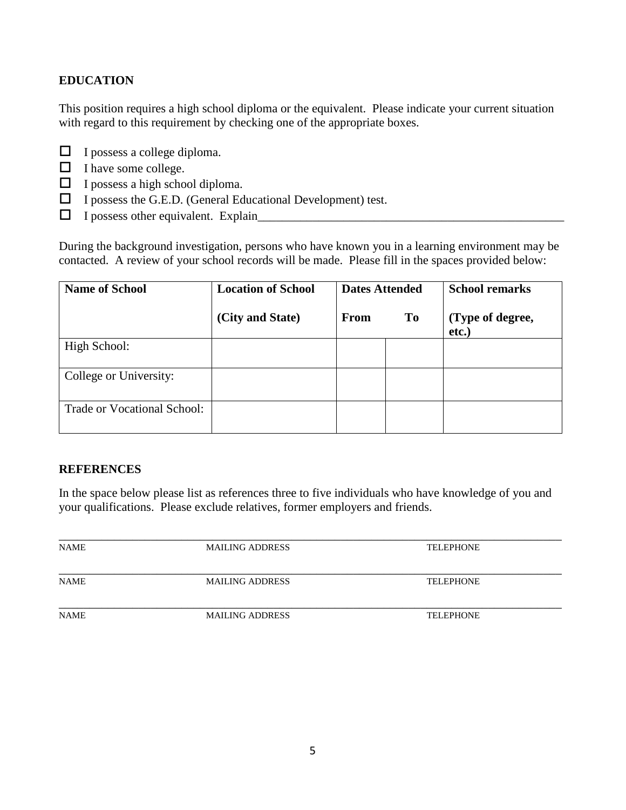### **EDUCATION**

This position requires a high school diploma or the equivalent. Please indicate your current situation with regard to this requirement by checking one of the appropriate boxes.

- $\Box$  I possess a college diploma.
- $\Box$  I have some college.
- $\Box$  I possess a high school diploma.
- $\Box$  I possess the G.E.D. (General Educational Development) test.
- $\Box$  I possess other equivalent. Explain

During the background investigation, persons who have known you in a learning environment may be contacted. A review of your school records will be made. Please fill in the spaces provided below:

| <b>Name of School</b>       | <b>Location of School</b> | <b>Dates Attended</b> |    | <b>School remarks</b>     |
|-----------------------------|---------------------------|-----------------------|----|---------------------------|
|                             | (City and State)          | From                  | To | (Type of degree,<br>etc.) |
| High School:                |                           |                       |    |                           |
| College or University:      |                           |                       |    |                           |
| Trade or Vocational School: |                           |                       |    |                           |

#### **REFERENCES**

In the space below please list as references three to five individuals who have knowledge of you and your qualifications. Please exclude relatives, former employers and friends.

| <b>NAME</b> | <b>MAILING ADDRESS</b> | <b>TELEPHONE</b> |  |
|-------------|------------------------|------------------|--|
|             |                        |                  |  |
| <b>NAME</b> | <b>MAILING ADDRESS</b> | <b>TELEPHONE</b> |  |
|             |                        |                  |  |
| <b>NAME</b> | <b>MAILING ADDRESS</b> | <b>TELEPHONE</b> |  |
|             |                        |                  |  |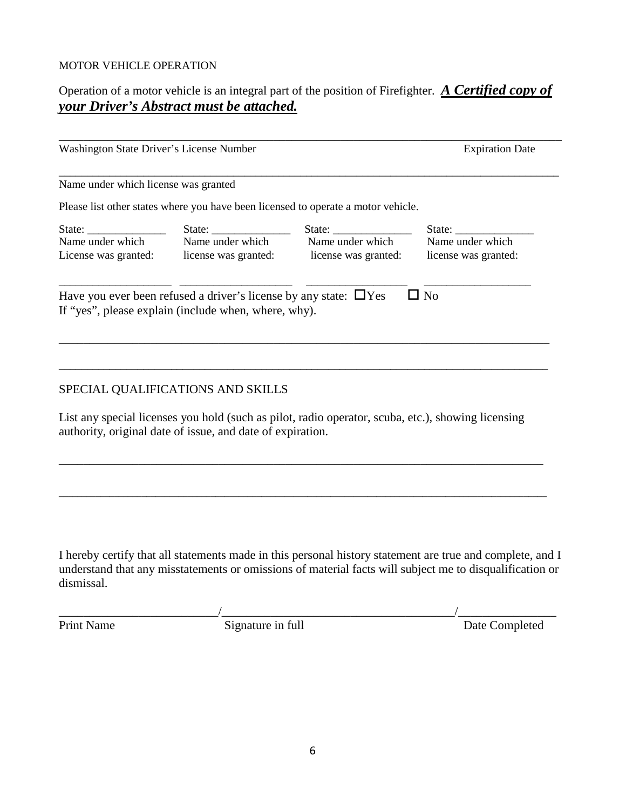#### MOTOR VEHICLE OPERATION

## Operation of a motor vehicle is an integral part of the position of Firefighter. *A Certified copy of your Driver's Abstract must be attached.*

| Washington State Driver's License Number                  |                                                                        |                                                                                   | <b>Expiration Date</b>            |  |
|-----------------------------------------------------------|------------------------------------------------------------------------|-----------------------------------------------------------------------------------|-----------------------------------|--|
| Name under which license was granted                      |                                                                        |                                                                                   |                                   |  |
|                                                           |                                                                        | Please list other states where you have been licensed to operate a motor vehicle. |                                   |  |
| State: $\frac{1}{\sqrt{1-\frac{1}{2}} \cdot \frac{1}{2}}$ |                                                                        | State:                                                                            | State: $\frac{\sqrt{2\pi}}{2\pi}$ |  |
| Name under which                                          | Name under which                                                       | Name under which                                                                  | Name under which                  |  |
| License was granted:                                      |                                                                        | license was granted: license was granted:                                         | license was granted:              |  |
|                                                           | Have you ever been refused a driver's license by any state: $\Box$ Yes |                                                                                   | $\Box$ No                         |  |
|                                                           | If "yes", please explain (include when, where, why).                   |                                                                                   |                                   |  |
|                                                           |                                                                        |                                                                                   |                                   |  |
|                                                           |                                                                        |                                                                                   |                                   |  |
|                                                           |                                                                        |                                                                                   |                                   |  |

#### SPECIAL QUALIFICATIONS AND SKILLS

List any special licenses you hold (such as pilot, radio operator, scuba, etc.), showing licensing authority, original date of issue, and date of expiration.

\_\_\_\_\_\_\_\_\_\_\_\_\_\_\_\_\_\_\_\_\_\_\_\_\_\_\_\_\_\_\_\_\_\_\_\_\_\_\_\_\_\_\_\_\_\_\_\_\_\_\_\_\_\_\_\_\_\_\_\_\_\_\_\_\_\_\_\_\_\_\_\_\_\_\_\_\_\_\_

\_\_\_\_\_\_\_\_\_\_\_\_\_\_\_\_\_\_\_\_\_\_\_\_\_\_\_\_\_\_\_\_\_\_\_\_\_\_\_\_\_\_\_\_\_\_\_\_\_\_\_\_\_\_\_\_\_\_\_\_\_\_\_\_\_\_\_\_\_\_\_\_\_\_\_\_\_\_\_\_\_\_\_\_\_\_\_\_\_\_\_\_\_\_\_\_\_\_\_\_\_\_\_\_\_\_

I hereby certify that all statements made in this personal history statement are true and complete, and I understand that any misstatements or omissions of material facts will subject me to disqualification or dismissal.

\_\_\_\_\_\_\_\_\_\_\_\_\_\_\_\_\_\_\_\_\_\_\_\_\_\_/\_\_\_\_\_\_\_\_\_\_\_\_\_\_\_\_\_\_\_\_\_\_\_\_\_\_\_\_\_\_\_\_\_\_\_\_\_\_/\_\_\_\_\_\_\_\_\_\_\_\_\_\_\_\_ Print Name Signature in full Date Completed